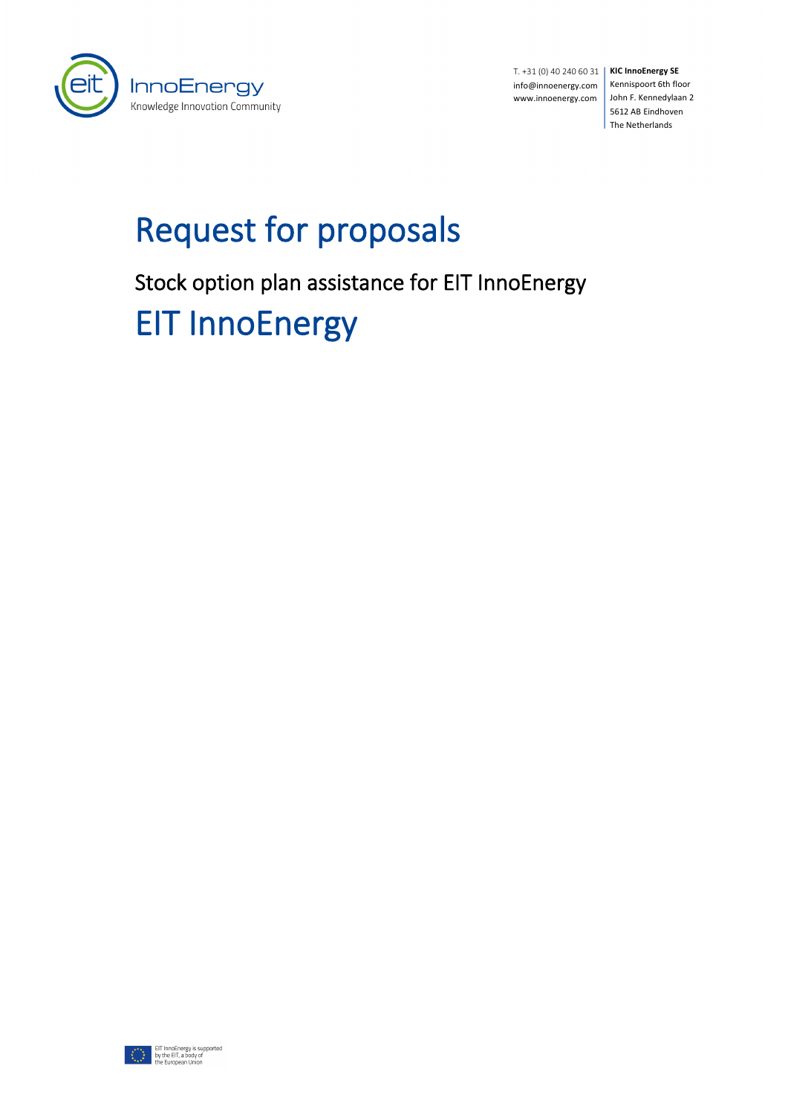

**KIC InnoEnergy SE** T. +31 (0) 40 240 60 31 info@innoenergy.com www.innoenergy.com

Kennispoort 6th floor John F. Kennedylaan 2 5612 AB Eindhoven The Netherlands

# Request for proposals

Stock option plan assistance for EIT InnoEnergy

EIT InnoEnergy

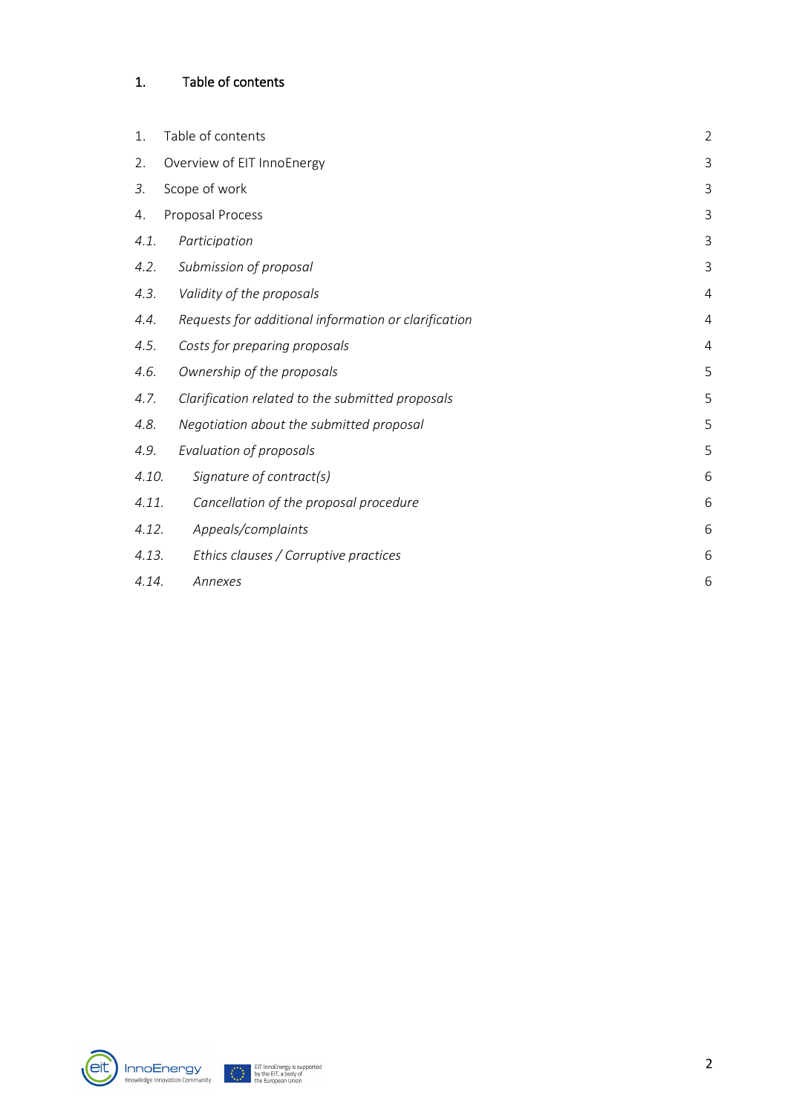# <span id="page-1-0"></span>1. Table of contents

| 1.    | Table of contents                                    | $\overline{2}$ |
|-------|------------------------------------------------------|----------------|
| 2.    | Overview of EIT InnoEnergy                           | 3              |
| 3.    | Scope of work                                        | 3              |
| 4.    | Proposal Process                                     | 3              |
| 4.1.  | Participation                                        | 3              |
| 4.2.  | Submission of proposal                               | 3              |
| 4.3.  | Validity of the proposals                            | 4              |
| 4.4.  | Requests for additional information or clarification | 4              |
| 4.5.  | Costs for preparing proposals                        | $\overline{4}$ |
| 4.6.  | Ownership of the proposals                           | 5              |
| 4.7.  | Clarification related to the submitted proposals     | 5              |
| 4.8.  | Negotiation about the submitted proposal             | 5              |
| 4.9.  | Evaluation of proposals                              | 5              |
| 4.10. | Signature of contract(s)                             | 6              |
| 4.11. | Cancellation of the proposal procedure               | 6              |
| 4.12. | Appeals/complaints                                   | 6              |
| 4.13. | Ethics clauses / Corruptive practices                | 6              |
| 4.14. | Annexes                                              | 6              |



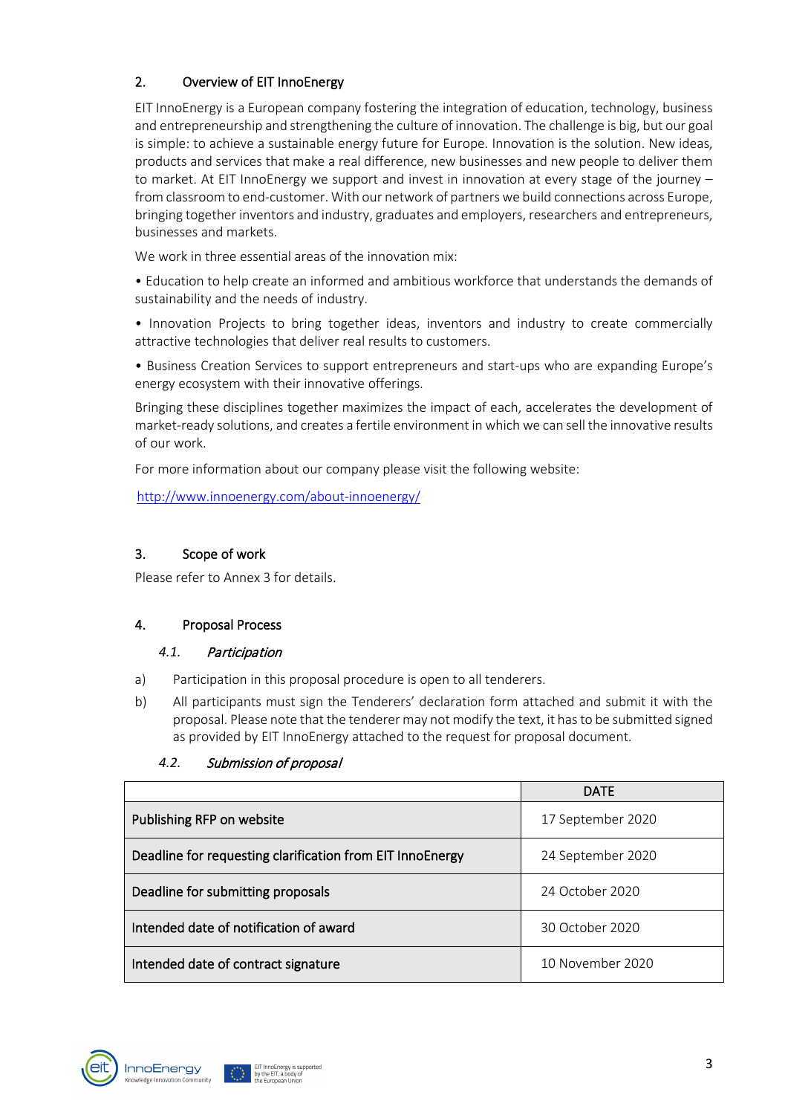# <span id="page-2-0"></span>2. Overview of EIT InnoEnergy

EIT InnoEnergy is a European company fostering the integration of education, technology, business and entrepreneurship and strengthening the culture of innovation. The challenge is big, but our goal is simple: to achieve a sustainable energy future for Europe. Innovation is the solution. New ideas, products and services that make a real difference, new businesses and new people to deliver them to market. At EIT InnoEnergy we support and invest in innovation at every stage of the journey – from classroom to end-customer. With our network of partners we build connections across Europe, bringing together inventors and industry, graduates and employers, researchers and entrepreneurs, businesses and markets.

We work in three essential areas of the innovation mix-

• Education to help create an informed and ambitious workforce that understands the demands of sustainability and the needs of industry.

• Innovation Projects to bring together ideas, inventors and industry to create commercially attractive technologies that deliver real results to customers.

• Business Creation Services to support entrepreneurs and start-ups who are expanding Europe's energy ecosystem with their innovative offerings.

Bringing these disciplines together maximizes the impact of each, accelerates the development of market-ready solutions, and creates a fertile environment in which we can sell the innovative results of our work.

For more information about our company please visit the following website:

<http://www.innoenergy.com/about-innoenergy/>

#### <span id="page-2-1"></span>3. Scope of work

Please refer to Annex 3 for details.

## <span id="page-2-2"></span>4. Proposal Process

#### <span id="page-2-3"></span>*4.1.* Participation

- a) Participation in this proposal procedure is open to all tenderers.
- b) All participants must sign the Tenderers' declaration form attached and submit it with the proposal. Please note that the tenderer may not modify the text, it has to be submitted signed as provided by EIT InnoEnergy attached to the request for proposal document.

|                                                           | <b>DATE</b>       |
|-----------------------------------------------------------|-------------------|
| Publishing RFP on website                                 | 17 September 2020 |
| Deadline for requesting clarification from EIT InnoEnergy | 24 September 2020 |
| Deadline for submitting proposals                         | 24 October 2020   |
| Intended date of notification of award                    | 30 October 2020   |
| Intended date of contract signature                       | 10 November 2020  |

#### <span id="page-2-4"></span>*4.2.* Submission of proposal



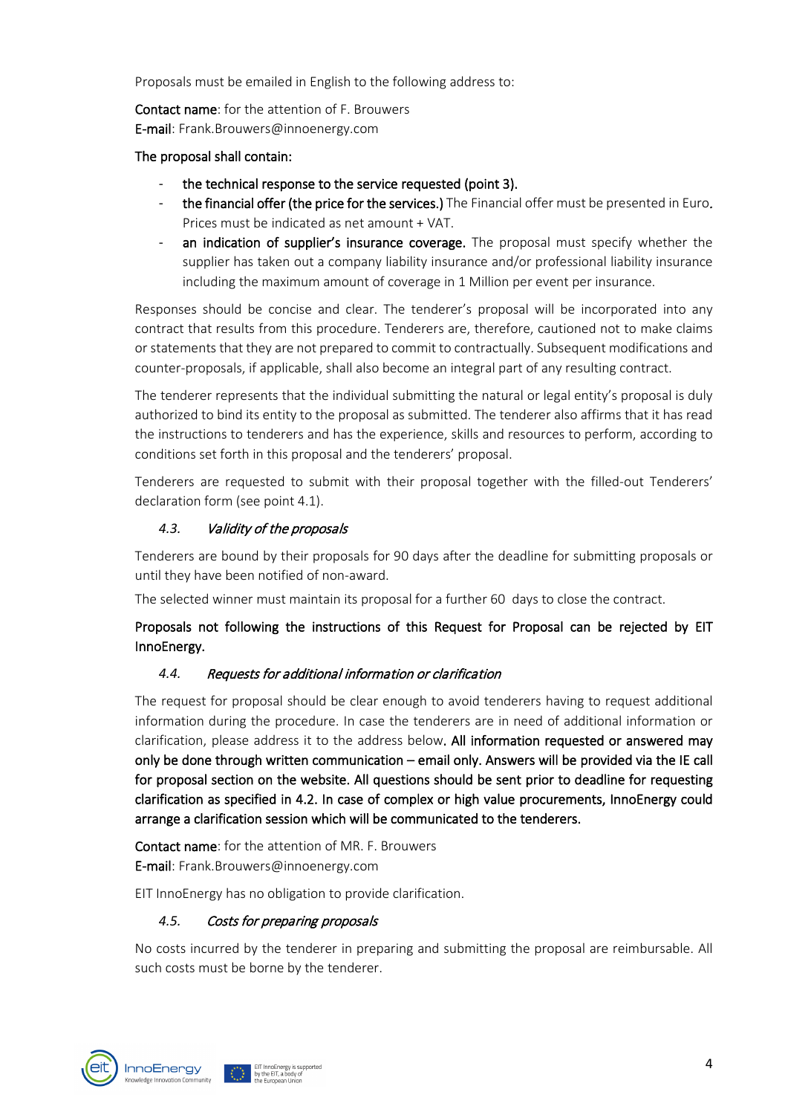Proposals must be emailed in English to the following address to:

Contact name: for the attention of F. Brouwers E-mail: Frank.Brouwers@innoenergy.com

#### The proposal shall contain:

- the technical response to the service requested (point 3).
- the financial offer (the price for the services.) The Financial offer must be presented in Euro. Prices must be indicated as net amount + VAT.
- an indication of supplier's insurance coverage. The proposal must specify whether the supplier has taken out a company liability insurance and/or professional liability insurance including the maximum amount of coverage in 1 Million per event per insurance.

Responses should be concise and clear. The tenderer's proposal will be incorporated into any contract that results from this procedure. Tenderers are, therefore, cautioned not to make claims or statements that they are not prepared to commit to contractually. Subsequent modifications and counter-proposals, if applicable, shall also become an integral part of any resulting contract.

The tenderer represents that the individual submitting the natural or legal entity's proposal is duly authorized to bind its entity to the proposal as submitted. The tenderer also affirms that it has read the instructions to tenderers and has the experience, skills and resources to perform, according to conditions set forth in this proposal and the tenderers' proposal.

Tenderers are requested to submit with their proposal together with the filled-out Tenderers' declaration form (see point 4.1).

#### <span id="page-3-0"></span>*4.3.* Validity of the proposals

Tenderers are bound by their proposals for 90 days after the deadline for submitting proposals or until they have been notified of non-award.

The selected winner must maintain its proposal for a further 60 days to close the contract.

## Proposals not following the instructions of this Request for Proposal can be rejected by EIT InnoEnergy.

#### <span id="page-3-1"></span>*4.4.* Requests for additional information or clarification

The request for proposal should be clear enough to avoid tenderers having to request additional information during the procedure. In case the tenderers are in need of additional information or clarification, please address it to the address below. All information requested or answered may only be done through written communication – email only. Answers will be provided via the IE call for proposal section on the website. All questions should be sent prior to deadline for requesting clarification as specified in 4.2. In case of complex or high value procurements, InnoEnergy could arrange a clarification session which will be communicated to the tenderers.

Contact name: for the attention of MR. F. Brouwers E-mail: Frank.Brouwers@innoenergy.com

<span id="page-3-2"></span>EIT InnoEnergy has no obligation to provide clarification.

## *4.5.* Costs for preparing proposals

No costs incurred by the tenderer in preparing and submitting the proposal are reimbursable. All such costs must be borne by the tenderer.

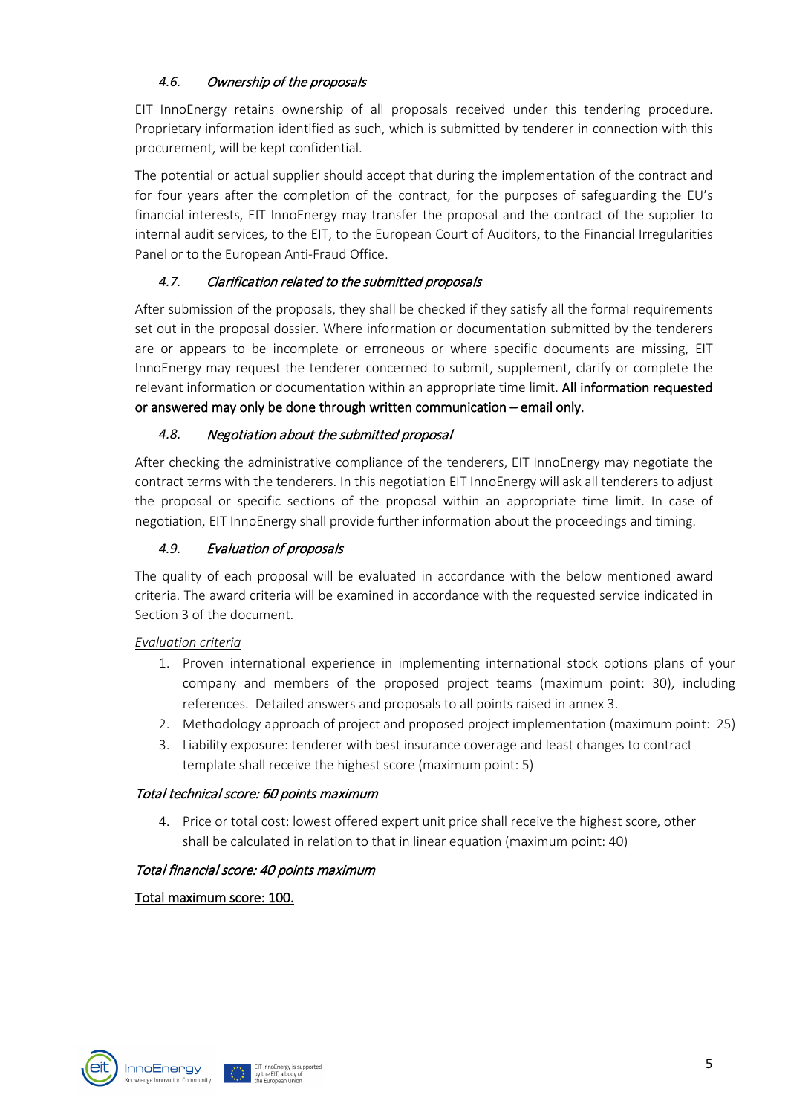# <span id="page-4-0"></span>*4.6.* Ownership of the proposals

EIT InnoEnergy retains ownership of all proposals received under this tendering procedure. Proprietary information identified as such, which is submitted by tenderer in connection with this procurement, will be kept confidential.

The potential or actual supplier should accept that during the implementation of the contract and for four years after the completion of the contract, for the purposes of safeguarding the EU's financial interests, EIT InnoEnergy may transfer the proposal and the contract of the supplier to internal audit services, to the EIT, to the European Court of Auditors, to the Financial Irregularities Panel or to the European Anti-Fraud Office.

# <span id="page-4-1"></span>*4.7.* Clarification related to the submitted proposals

After submission of the proposals, they shall be checked if they satisfy all the formal requirements set out in the proposal dossier. Where information or documentation submitted by the tenderers are or appears to be incomplete or erroneous or where specific documents are missing, EIT InnoEnergy may request the tenderer concerned to submit, supplement, clarify or complete the relevant information or documentation within an appropriate time limit. All information requested or answered may only be done through written communication – email only.

# <span id="page-4-2"></span>*4.8.* Negotiation about the submitted proposal

After checking the administrative compliance of the tenderers, EIT InnoEnergy may negotiate the contract terms with the tenderers. In this negotiation EIT InnoEnergy will ask all tenderers to adjust the proposal or specific sections of the proposal within an appropriate time limit. In case of negotiation, EIT InnoEnergy shall provide further information about the proceedings and timing.

## <span id="page-4-3"></span>*4.9.* Evaluation of proposals

The quality of each proposal will be evaluated in accordance with the below mentioned award criteria. The award criteria will be examined in accordance with the requested service indicated in Section 3 of the document.

## *Evaluation criteria*

- 1. Proven international experience in implementing international stock options plans of your company and members of the proposed project teams (maximum point: 30), including references. Detailed answers and proposals to all points raised in annex 3.
- 2. Methodology approach of project and proposed project implementation (maximum point: 25)
- 3. Liability exposure: tenderer with best insurance coverage and least changes to contract template shall receive the highest score (maximum point: 5)

## Total technical score: 60 points maximum

4. Price or total cost: lowest offered expert unit price shall receive the highest score, other shall be calculated in relation to that in linear equation (maximum point: 40)

## Total financial score: 40 points maximum

## Total maximum score: 100.